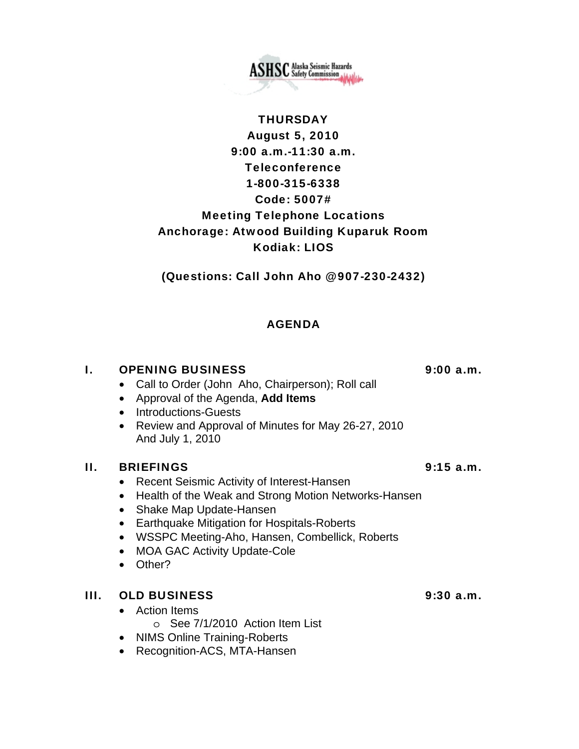**ASHSC** Alaska Seismic Hazards

# **THURSDAY** August 5, 2010 9:00 a.m.-11:30 a.m. Teleconference 1-800-315-6338 Code: 5007# Meeting Telephone Locations Anchorage: Atwood Building Kuparuk Room Kodiak: LIOS

(Questions: Call John Aho @ 907-230-2432)

# AGENDA

## I. OPENING BUSINESS 9:00 a.m.

- Call to Order (John Aho, Chairperson); Roll call
- Approval of the Agenda, **Add Items**
- Introductions-Guests
- Review and Approval of Minutes for May 26-27, 2010 And July 1, 2010

### II. BRIEFINGS 9:15 a.m.

- Recent Seismic Activity of Interest-Hansen
- Health of the Weak and Strong Motion Networks-Hansen
- Shake Map Update-Hansen
- Earthquake Mitigation for Hospitals-Roberts
- WSSPC Meeting-Aho, Hansen, Combellick, Roberts
- MOA GAC Activity Update-Cole
- Other?

## III. OLD BUSINESS 9:30 a.m.

- Action Items
	- o See 7/1/2010 Action Item List
- NIMS Online Training-Roberts
- Recognition-ACS, MTA-Hansen

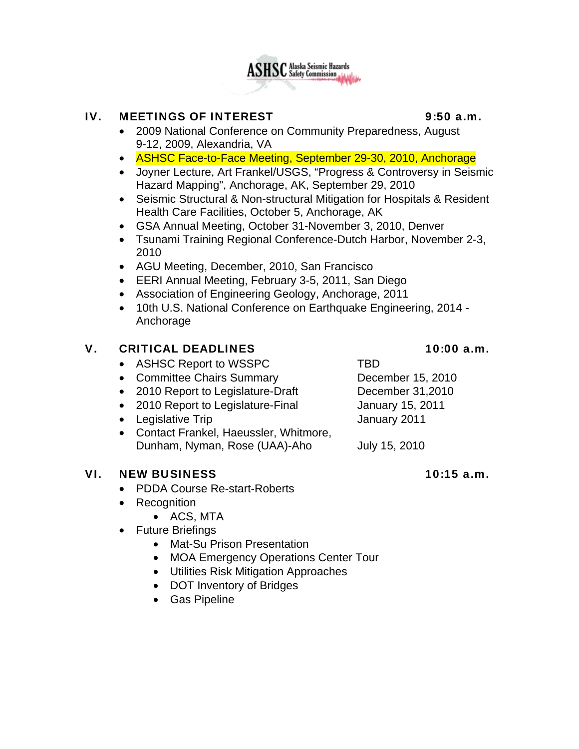

### IV. MEETINGS OF INTEREST 9:50 a.m.

- 2009 National Conference on Community Preparedness, August 9-12, 2009, Alexandria, VA
- ASHSC Face-to-Face Meeting, September 29-30, 2010, Anchorage
- Joyner Lecture, Art Frankel/USGS, "Progress & Controversy in Seismic Hazard Mapping", Anchorage, AK, September 29, 2010
- Seismic Structural & Non-structural Mitigation for Hospitals & Resident Health Care Facilities, October 5, Anchorage, AK
- GSA Annual Meeting, October 31-November 3, 2010, Denver
- Tsunami Training Regional Conference-Dutch Harbor, November 2-3, 2010
- AGU Meeting, December, 2010, San Francisco
- EERI Annual Meeting, February 3-5, 2011, San Diego
- Association of Engineering Geology, Anchorage, 2011
- 10th U.S. National Conference on Earthquake Engineering, 2014 Anchorage

### V. CRITICAL DEADLINES 10:00 a.m.

- ASHSC Report to WSSPC TBD
- Committee Chairs Summary December 15, 2010
- 2010 Report to Legislature-Draft December 31,2010
- 2010 Report to Legislature-Final January 15, 2011
- Legislative Trip January 2011
- Contact Frankel, Haeussler, Whitmore, Dunham, Nyman, Rose (UAA)-Aho July 15, 2010

#### VI. NEW BUSINESS 10:15 a.m.

- PDDA Course Re-start-Roberts
- Recognition
	- ACS, MTA
- Future Briefings
	- Mat-Su Prison Presentation
	- MOA Emergency Operations Center Tour
	- Utilities Risk Mitigation Approaches
	- DOT Inventory of Bridges
	- Gas Pipeline